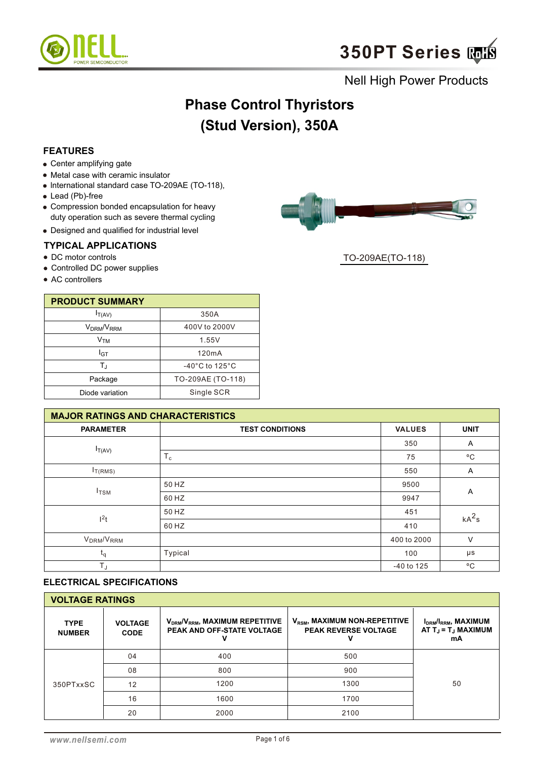

# **Phase Control Thyristors (Stud Version), 350A**

## **FEATURES**

- Center amplifying gate
- Metal case with ceramic insulator
- lnternational standard case TO-209AE (TO-118),
- Lead (Pb)-free
- Compression bonded encapsulation for heavy duty operation such as severe thermal cycling
- Designed and qualified for industrial level

#### **TYPICAL APPLICATIONS**

- DC motor controls
- Controlled DC power supplies
- AC controllers

| <b>PRODUCT SUMMARY</b>             |                                     |
|------------------------------------|-------------------------------------|
| $I_{T(AV)}$                        | 350A                                |
| V <sub>DRM</sub> /V <sub>RRM</sub> | 400V to 2000V                       |
| Ѵҭӎ                                | 1.55V                               |
| I <sub>GT</sub>                    | 120mA                               |
| T.                                 | $-40^{\circ}$ C to 125 $^{\circ}$ C |
| Package                            | TO-209AE (TO-118)                   |
| Diode variation                    | Single SCR                          |

| <b>MAJOR RATINGS AND CHARACTERISTICS</b> |                        |               |              |  |  |  |
|------------------------------------------|------------------------|---------------|--------------|--|--|--|
| <b>PARAMETER</b>                         | <b>TEST CONDITIONS</b> | <b>VALUES</b> | <b>UNIT</b>  |  |  |  |
|                                          |                        | 350           | A            |  |  |  |
| $I_{T(AV)}$                              | $T_c$                  | 75            | $^{\circ}$ C |  |  |  |
| $I_{T(RMS)}$                             |                        | 550           | Α            |  |  |  |
| $I_{TSM}$                                | 50 HZ                  | 9500          | Α            |  |  |  |
|                                          | 60 HZ                  | 9947          |              |  |  |  |
|                                          | 50 HZ                  | 451           | $kA^2s$      |  |  |  |
| l <sup>2</sup> t                         | 60 HZ                  | 410           |              |  |  |  |
| V <sub>DRM</sub> /V <sub>RRM</sub>       |                        | 400 to 2000   | $\vee$       |  |  |  |
| $\mathsf{t}_\mathsf{q}$                  | Typical                | 100           | μs           |  |  |  |
| $T_{\text{J}}$                           |                        | -40 to 125    | $^{\circ}$ C |  |  |  |

## **ELECTRICAL SPECIFICATIONS**

| <b>VOLTAGE RATINGS</b>       |                               |                                                                      |                                                                          |                                                                                            |  |  |  |  |
|------------------------------|-------------------------------|----------------------------------------------------------------------|--------------------------------------------------------------------------|--------------------------------------------------------------------------------------------|--|--|--|--|
| <b>TYPE</b><br><b>NUMBER</b> | <b>VOLTAGE</b><br><b>CODE</b> | $V_{DRM}/V_{RRM}$ , MAXIMUM REPETITIVE<br>PEAK AND OFF-STATE VOLTAGE | V <sub>RSM</sub> , MAXIMUM NON-REPETITIVE<br><b>PEAK REVERSE VOLTAGE</b> | I <sub>DRM</sub> /I <sub>RRM</sub> , MAXIMUM<br>AT $T_{\rm J}$ = $T_{\rm J}$ MAXIMUM<br>mA |  |  |  |  |
|                              | 04                            | 400                                                                  | 500                                                                      |                                                                                            |  |  |  |  |
|                              | 08                            | 800                                                                  | 900                                                                      |                                                                                            |  |  |  |  |
| 350PTxxSC                    | 12                            | 1200                                                                 | 1300                                                                     | 50                                                                                         |  |  |  |  |
|                              | 16                            | 1600                                                                 | 1700                                                                     |                                                                                            |  |  |  |  |
|                              | 20                            | 2000                                                                 | 2100                                                                     |                                                                                            |  |  |  |  |



TO-209AE(TO-118)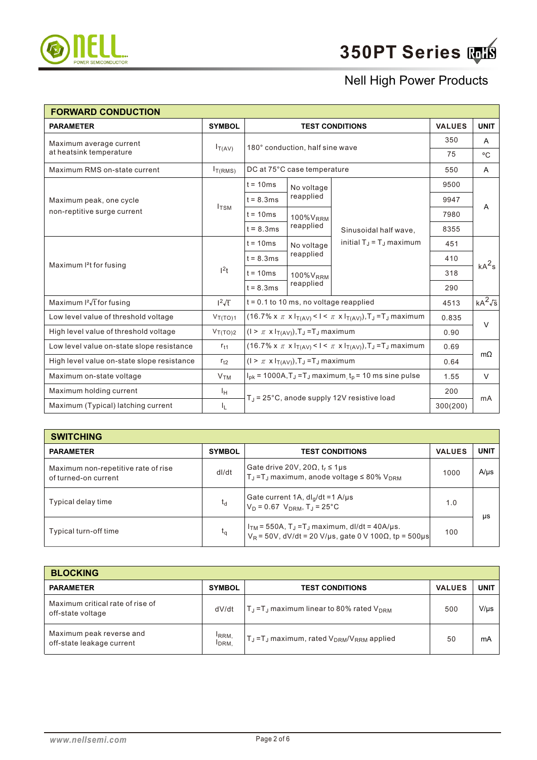

| <b>FORWARD CONDUCTION</b>                  |                          |                                                                                      |                                                                                                       |                                                                                      |               |                |  |
|--------------------------------------------|--------------------------|--------------------------------------------------------------------------------------|-------------------------------------------------------------------------------------------------------|--------------------------------------------------------------------------------------|---------------|----------------|--|
| <b>PARAMETER</b>                           | <b>SYMBOL</b>            |                                                                                      |                                                                                                       | <b>TEST CONDITIONS</b>                                                               | <b>VALUES</b> | <b>UNIT</b>    |  |
| Maximum average current                    |                          |                                                                                      | 180° conduction, half sine wave                                                                       |                                                                                      | 350           | Α              |  |
| at heatsink temperature                    | $I_{T(AV)}$              |                                                                                      |                                                                                                       |                                                                                      | 75            | °C             |  |
| Maximum RMS on-state current               | I <sub>T(RMS)</sub>      |                                                                                      | DC at 75°C case temperature                                                                           |                                                                                      | 550           | A              |  |
|                                            |                          | $t = 10ms$                                                                           | No voltage                                                                                            |                                                                                      | 9500          |                |  |
| Maximum peak, one cycle                    |                          | $t = 8.3ms$                                                                          | reapplied                                                                                             |                                                                                      | 9947          |                |  |
| non-reptitive surge current                | $I_{TSM}$                | $t = 10ms$                                                                           | 100% V <sub>RRM</sub>                                                                                 |                                                                                      | 7980          | A              |  |
|                                            | reapplied<br>$t = 8.3ms$ | Sinusoidal half wave,                                                                | 8355                                                                                                  |                                                                                      |               |                |  |
|                                            |                          | $t = 10ms$                                                                           | No voltage                                                                                            | initial $T_{\rm J}$ = $T_{\rm J}$ maximum                                            | 451           | $kA^2s$        |  |
| Maximum <sup>2</sup> t for fusing          | 1 <sup>2</sup> t         | $t = 8.3ms$                                                                          | reapplied                                                                                             |                                                                                      | 410           |                |  |
|                                            |                          | $t = 10ms$                                                                           | 100%V <sub>RRM</sub>                                                                                  |                                                                                      | 318           |                |  |
|                                            |                          | $t = 8.3ms$                                                                          | reapplied                                                                                             |                                                                                      | 290           |                |  |
| Maximum $I^2\sqrt{t}$ for fusing           | $1^2\sqrt{t}$            |                                                                                      | $t = 0.1$ to 10 ms, no voltage reapplied                                                              |                                                                                      | 4513          | $kA^2\sqrt{s}$ |  |
| Low level value of threshold voltage       | $V_{T(TO)1}$             |                                                                                      |                                                                                                       | $(16.7\% \times \pi \times I_{T(AV)} < I < \pi \times I_{T(AV)}), T_J = T_J$ maximum | 0.835         | $\vee$         |  |
| High level value of threshold voltage      | $V_{T(TO)2}$             |                                                                                      | $(1 > \pi \times I_{T(AV)}), T_J = T_J$ maximum                                                       |                                                                                      |               |                |  |
| Low level value on-state slope resistance  | $r_{t1}$                 | $(16.7\% \times \pi \times I_{T(AV)} < I < \pi \times I_{T(AV)}), T_J = T_J$ maximum |                                                                                                       |                                                                                      | 0.69          |                |  |
| High level value on-state slope resistance | $r_{t2}$                 | $(I > \pi \times I_{T(AV)}), T_J = T_J$ maximum                                      |                                                                                                       |                                                                                      | 0.64          | $m\Omega$      |  |
| Maximum on-state voltage                   | V <sub>TM</sub>          |                                                                                      | $I_{pk}$ = 1000A,T <sub>J</sub> =T <sub>J</sub> maximum <sub>, t<sub>p</sub> = 10 ms sine pulse</sub> |                                                                                      |               | $\vee$         |  |
| Maximum holding current                    | ΙH                       |                                                                                      |                                                                                                       |                                                                                      | 200           |                |  |
| Maximum (Typical) latching current         | ΙL.                      |                                                                                      | $T_J = 25^{\circ}$ C, anode supply 12V resistive load                                                 |                                                                                      |               | mA             |  |

| <b>SWITCHING</b>                                            |               |                                                                                                                                      |               |             |  |  |  |  |
|-------------------------------------------------------------|---------------|--------------------------------------------------------------------------------------------------------------------------------------|---------------|-------------|--|--|--|--|
| <b>PARAMETER</b>                                            | <b>SYMBOL</b> | <b>TEST CONDITIONS</b>                                                                                                               | <b>VALUES</b> | <b>UNIT</b> |  |  |  |  |
| Maximum non-repetitive rate of rise<br>of turned-on current | dl/dt         | Gate drive 20V, 20 $\Omega$ , t <sub>r</sub> $\leq$ 1µs<br>$T_J = T_J$ maximum, anode voltage $\leq 80\%$ V <sub>DRM</sub>           | 1000          | $A/\mu s$   |  |  |  |  |
| Typical delay time                                          | $t_d$         | Gate current 1A, $dI_g/dt = 1$ A/µs<br>$V_D = 0.67$ V <sub>DRM</sub> , T <sub>J</sub> = 25°C                                         |               | μs          |  |  |  |  |
| Typical turn-off time                                       | $t_{\alpha}$  | $I_{TM}$ = 550A, T <sub>J</sub> = T <sub>J</sub> maximum, dl/dt = 40A/µs.<br>$V_R$ = 50V, dV/dt = 20 V/μs, gate 0 V 100Ω, tp = 500μs | 100           |             |  |  |  |  |

| <b>BLOCKING</b>                                       |                                       |                                                                           |               |             |
|-------------------------------------------------------|---------------------------------------|---------------------------------------------------------------------------|---------------|-------------|
| <b>PARAMETER</b>                                      | <b>SYMBOL</b>                         | <b>TEST CONDITIONS</b>                                                    | <b>VALUES</b> | <b>UNIT</b> |
| Maximum critical rate of rise of<br>off-state voltage | dV/dt                                 | $T_{\rm J}$ = T <sub>J</sub> maximum linear to 80% rated V <sub>DRM</sub> | 500           | $V/\mu s$   |
| Maximum peak reverse and<br>off-state leakage current | <sup>I</sup> RRM.<br>I <sub>DRM</sub> | $T_J = T_J$ maximum, rated $V_{DRM}/V_{RRM}$ applied                      | 50            | mA          |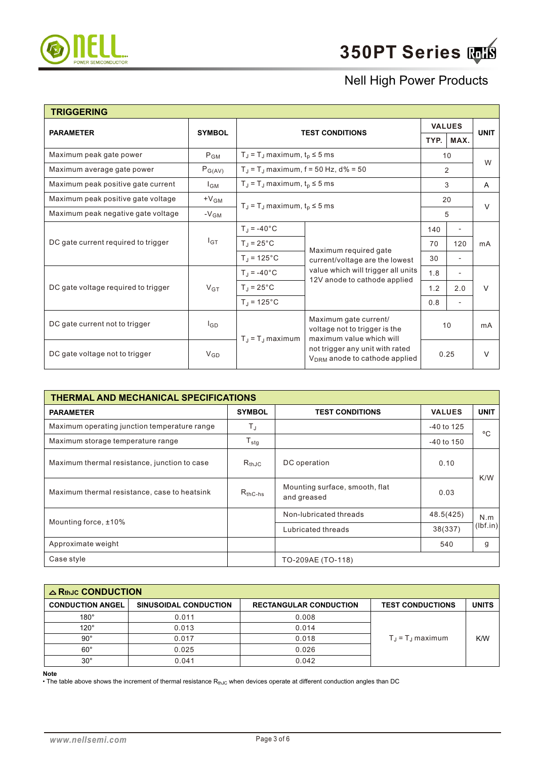

| <b>TRIGGERING</b>                   |                 |                                                                                                                                                                                           |                                                                    |                |                              |             |
|-------------------------------------|-----------------|-------------------------------------------------------------------------------------------------------------------------------------------------------------------------------------------|--------------------------------------------------------------------|----------------|------------------------------|-------------|
| <b>PARAMETER</b>                    | <b>SYMBOL</b>   |                                                                                                                                                                                           |                                                                    | <b>VALUES</b>  |                              | <b>UNIT</b> |
|                                     |                 |                                                                                                                                                                                           | <b>TEST CONDITIONS</b>                                             |                | MAX.                         |             |
| Maximum peak gate power             | $P_{GM}$        | $T_J = T_J$ maximum, $t_p \le 5$ ms                                                                                                                                                       |                                                                    | 10             |                              | W           |
| Maximum average gate power          | $P_{G(AV)}$     | $T_{\rm J}$ = T <sub>J</sub> maximum, f = 50 Hz, d% = 50                                                                                                                                  |                                                                    | $\overline{2}$ |                              |             |
| Maximum peak positive gate current  | $I_{GM}$        | $T_J = T_J$ maximum, $t_p \le 5$ ms                                                                                                                                                       |                                                                    |                | 3                            | A           |
| Maximum peak positive gate voltage  | $+V_{GM}$       |                                                                                                                                                                                           |                                                                    | 20             |                              | $\vee$      |
| Maximum peak negative gate voltage  | $-V_{GM}$       | $T_J = T_J$ maximum, $t_p \le 5$ ms                                                                                                                                                       |                                                                    | 5              |                              |             |
| DC gate current required to trigger | $I_{GT}$        | $T_J = -40$ °C                                                                                                                                                                            |                                                                    | 140            |                              | mA          |
|                                     |                 | $T_J = 25^{\circ}C$                                                                                                                                                                       |                                                                    | 70             | 120                          |             |
|                                     |                 | $T_J = 125^{\circ}C$                                                                                                                                                                      | Maximum required gate<br>current/voltage are the lowest            | 30             | $\overline{\phantom{a}}$     |             |
|                                     |                 | $T_{\rm J} = -40^{\circ}C$                                                                                                                                                                | value which will trigger all units<br>12V anode to cathode applied | 1.8            |                              |             |
| DC gate voltage required to trigger | $V_{GT}$        | $T_J = 25^{\circ}C$                                                                                                                                                                       |                                                                    | 1.2            | 2.0                          | $\vee$      |
|                                     |                 | $T_J = 125$ °C                                                                                                                                                                            |                                                                    | 0.8            | $\qquad \qquad \blacksquare$ |             |
| DC gate current not to trigger      | l <sub>GD</sub> | Maximum gate current/<br>voltage not to trigger is the<br>maximum value which will<br>$T_J = T_J$ maximum<br>not trigger any unit with rated<br>V <sub>DRM</sub> anode to cathode applied |                                                                    |                | 10                           | mA          |
| DC gate voltage not to trigger      | $V_{GD}$        |                                                                                                                                                                                           |                                                                    |                | 0.25                         | $\vee$      |

| THERMAL AND MECHANICAL SPECIFICATIONS        |                  |                                               |               |             |  |  |  |  |
|----------------------------------------------|------------------|-----------------------------------------------|---------------|-------------|--|--|--|--|
| <b>PARAMETER</b>                             | <b>SYMBOL</b>    | <b>TEST CONDITIONS</b>                        | <b>VALUES</b> | <b>UNIT</b> |  |  |  |  |
| Maximum operating junction temperature range | T,               |                                               | -40 to 125    | °C          |  |  |  |  |
| Maximum storage temperature range            | $T_{\text{stg}}$ |                                               | -40 to 150    |             |  |  |  |  |
| Maximum thermal resistance, junction to case | $R_{th,IC}$      | DC operation                                  | 0.10          |             |  |  |  |  |
| Maximum thermal resistance, case to heatsink | $R_{thC-hs}$     | Mounting surface, smooth, flat<br>and greased | 0.03          | K/W         |  |  |  |  |
| Mounting force, ±10%                         |                  | Non-lubricated threads                        | 48.5(425)     | N.m         |  |  |  |  |
|                                              |                  | Lubricated threads                            | 38(337)       | (lbf.in)    |  |  |  |  |
| Approximate weight                           |                  |                                               | 540           | g           |  |  |  |  |
| Case style                                   |                  | TO-209AE (TO-118)                             |               |             |  |  |  |  |

| $\triangle$ RthJc CONDUCTION |                       |                               |                                   |              |
|------------------------------|-----------------------|-------------------------------|-----------------------------------|--------------|
| <b>CONDUCTION ANGEL</b>      | SINUSOIDAL CONDUCTION | <b>RECTANGULAR CONDUCTION</b> | <b>TEST CONDUCTIONS</b>           | <b>UNITS</b> |
| $180^\circ$                  | 0.011                 | 0.008                         |                                   |              |
| $120^\circ$                  | 0.013                 | 0.014                         |                                   |              |
| $90^{\circ}$                 | 0.017                 | 0.018                         | $T_{\rm J}$ = $T_{\rm J}$ maximum | K/W          |
| $60^{\circ}$                 | 0.025                 | 0.026                         |                                   |              |
| $30^{\circ}$                 | 0.041                 | 0.042                         |                                   |              |

**Note**

• The table above shows the increment of thermal resistance  $R_{thJC}$  when devices operate at different conduction angles than DC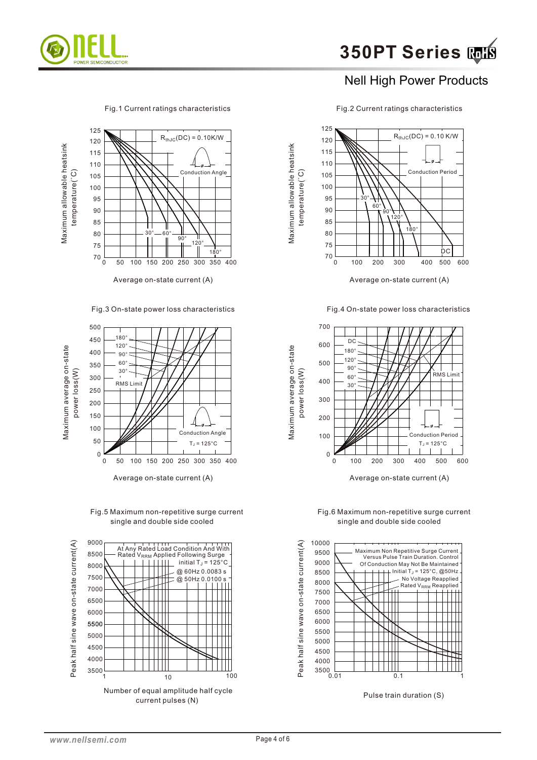

#### Fig.1 Current ratings characteristics Fig.2 Current ratings characteristics



Fig.3 On-state power loss characteristics



Fig.5 Maximum non-repetitive surge current single and double side cooled





Maximum allowable heatsink

Maximum average on-state

Maximum allowable heatsink

Average on-state current (A)  $\overline{A}$  Average on-state current (A)

Fig.4 On-state power loss characteristics



Fig.6 Maximum non-repetitive surge current single and double side cooled



Pulse train duration (S)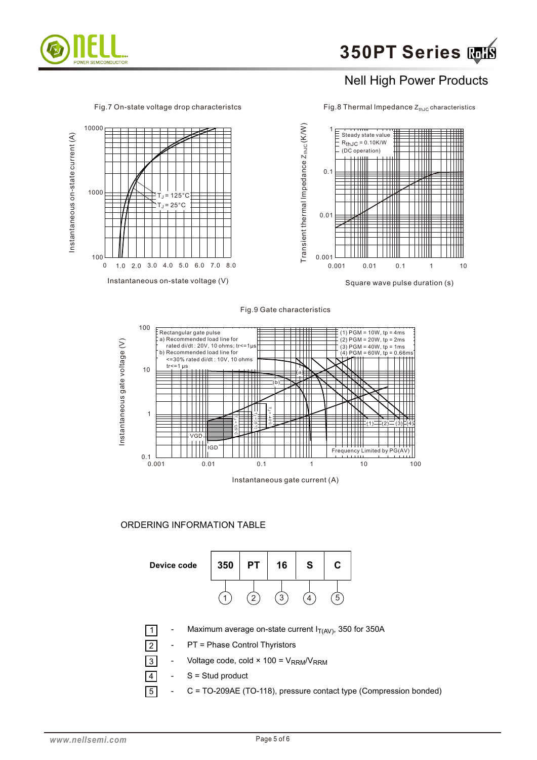

Fig.7 On-state voltage drop characteristcs

Fig.8 Thermal Impedance  $Z_{thJC}$  characteristics







#### ORDERING INFORMATION TABLE

| Device code | 350 | ן פ | 16 | S | C |  |
|-------------|-----|-----|----|---|---|--|
|             |     |     | ◠  |   | 5 |  |

- Maximum average on-state current  $I_{T(AV)}$ , 350 for 350A
- PT = Phase Control Thyristors
- 3 Voltage code, cold  $\times$  100 = V<sub>RRM</sub>/V<sub>RRM</sub>
- $S =$  Stud product
- 5 - C = TO-209AE (TO-118), pressure contact type (Compression bonded)